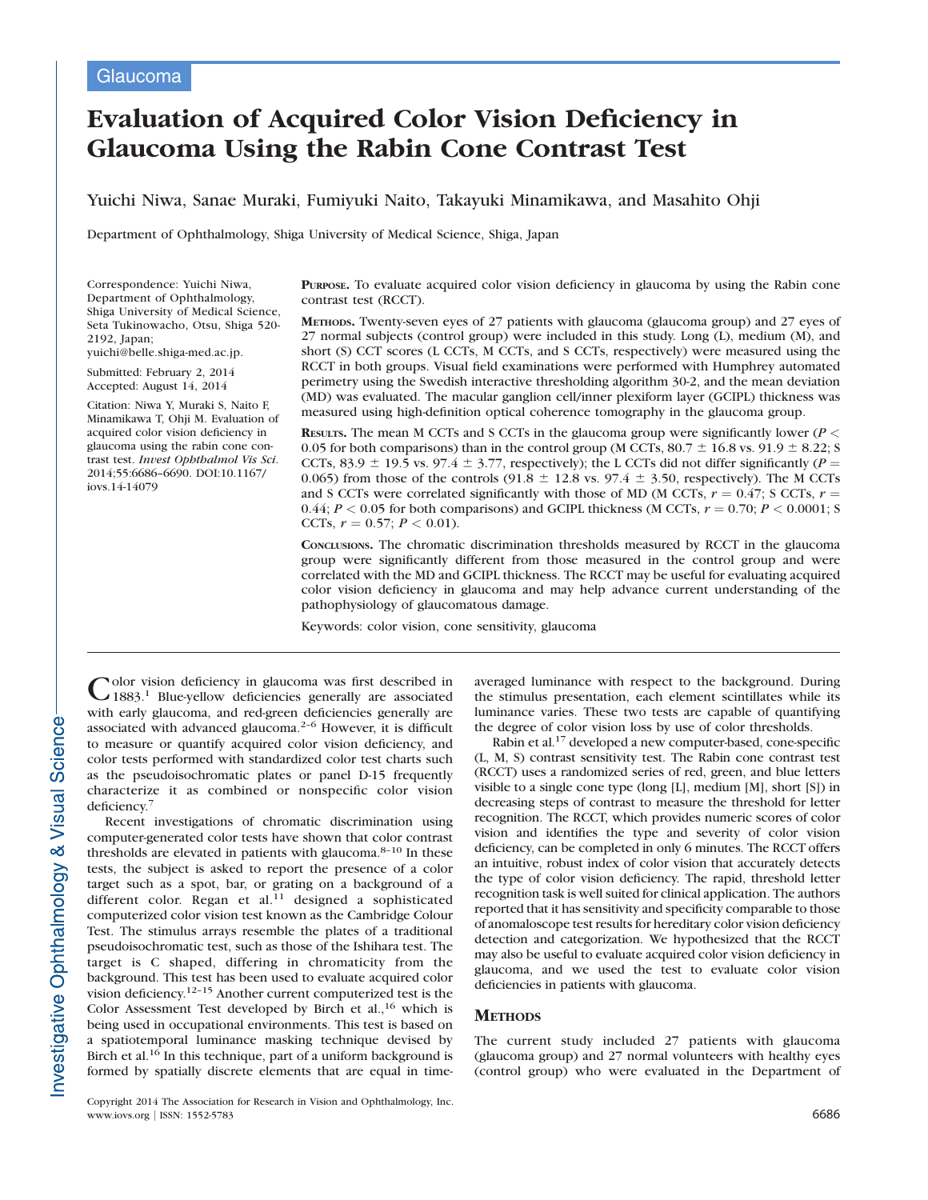# Evaluation of Acquired Color Vision Deficiency in Glaucoma Using the Rabin Cone Contrast Test

Yuichi Niwa, Sanae Muraki, Fumiyuki Naito, Takayuki Minamikawa, and Masahito Ohji

Department of Ophthalmology, Shiga University of Medical Science, Shiga, Japan

Correspondence: Yuichi Niwa, Department of Ophthalmology, Shiga University of Medical Science, Seta Tukinowacho, Otsu, Shiga 520- 2192, Japan;

yuichi@belle.shiga-med.ac.jp.

Submitted: February 2, 2014 Accepted: August 14, 2014

Citation: Niwa Y, Muraki S, Naito F, Minamikawa T, Ohji M. Evaluation of acquired color vision deficiency in glaucoma using the rabin cone contrast test. Invest Ophthalmol Vis Sci. 2014;55:6686–6690. DOI:10.1167/ iovs.14-14079

PURPOSE. To evaluate acquired color vision deficiency in glaucoma by using the Rabin cone contrast test (RCCT).

METHODS. Twenty-seven eyes of 27 patients with glaucoma (glaucoma group) and 27 eyes of 27 normal subjects (control group) were included in this study. Long (L), medium (M), and short (S) CCT scores (L CCTs, M CCTs, and S CCTs, respectively) were measured using the RCCT in both groups. Visual field examinations were performed with Humphrey automated perimetry using the Swedish interactive thresholding algorithm 30-2, and the mean deviation (MD) was evaluated. The macular ganglion cell/inner plexiform layer (GCIPL) thickness was measured using high-definition optical coherence tomography in the glaucoma group.

RESULTS. The mean M CCTs and S CCTs in the glaucoma group were significantly lower ( $P <$ 0.05 for both comparisons) than in the control group (M CCTs, 80.7  $\pm$  16.8 vs. 91.9  $\pm$  8.22; S CCTs, 83.9  $\pm$  19.5 vs. 97.4  $\pm$  3.77, respectively); the L CCTs did not differ significantly (P = 0.065) from those of the controls (91.8  $\pm$  12.8 vs. 97.4  $\pm$  3.50, respectively). The M CCTs and S CCTs were correlated significantly with those of MD (M CCTs,  $r = 0.47$ ; S CCTs,  $r =$ 0.44;  $P < 0.05$  for both comparisons) and GCIPL thickness (M CCTs,  $r = 0.70$ ;  $P < 0.0001$ ; S CCTs,  $r = 0.57$ ;  $P < 0.01$ ).

CONCLUSIONS. The chromatic discrimination thresholds measured by RCCT in the glaucoma group were significantly different from those measured in the control group and were correlated with the MD and GCIPL thickness. The RCCT may be useful for evaluating acquired color vision deficiency in glaucoma and may help advance current understanding of the pathophysiology of glaucomatous damage.

Keywords: color vision, cone sensitivity, glaucoma

Color vision deficiency in glaucoma was first described in 1883.<sup>1</sup> Blue-yellow deficiencies generally are associated with early glaucoma, and red-green deficiencies generally are associated with advanced glaucoma.2–6 However, it is difficult to measure or quantify acquired color vision deficiency, and color tests performed with standardized color test charts such as the pseudoisochromatic plates or panel D-15 frequently characterize it as combined or nonspecific color vision deficiency.<sup>7</sup>

Recent investigations of chromatic discrimination using computer-generated color tests have shown that color contrast thresholds are elevated in patients with glaucoma.<sup>8-10</sup> In these tests, the subject is asked to report the presence of a color target such as a spot, bar, or grating on a background of a different color. Regan et al. $11$  designed a sophisticated computerized color vision test known as the Cambridge Colour Test. The stimulus arrays resemble the plates of a traditional pseudoisochromatic test, such as those of the Ishihara test. The target is C shaped, differing in chromaticity from the background. This test has been used to evaluate acquired color vision deficiency.12–15 Another current computerized test is the Color Assessment Test developed by Birch et al.,<sup>16</sup> which is being used in occupational environments. This test is based on a spatiotemporal luminance masking technique devised by Birch et al.<sup>16</sup> In this technique, part of a uniform background is formed by spatially discrete elements that are equal in timeaveraged luminance with respect to the background. During the stimulus presentation, each element scintillates while its luminance varies. These two tests are capable of quantifying the degree of color vision loss by use of color thresholds.

Rabin et al.17 developed a new computer-based, cone-specific (L, M, S) contrast sensitivity test. The Rabin cone contrast test (RCCT) uses a randomized series of red, green, and blue letters visible to a single cone type (long [L], medium [M], short [S]) in decreasing steps of contrast to measure the threshold for letter recognition. The RCCT, which provides numeric scores of color vision and identifies the type and severity of color vision deficiency, can be completed in only 6 minutes. The RCCT offers an intuitive, robust index of color vision that accurately detects the type of color vision deficiency. The rapid, threshold letter recognition task is well suited for clinical application. The authors reported that it has sensitivity and specificity comparable to those of anomaloscope test results for hereditary color vision deficiency detection and categorization. We hypothesized that the RCCT may also be useful to evaluate acquired color vision deficiency in glaucoma, and we used the test to evaluate color vision deficiencies in patients with glaucoma.

## **METHODS**

The current study included 27 patients with glaucoma (glaucoma group) and 27 normal volunteers with healthy eyes (control group) who were evaluated in the Department of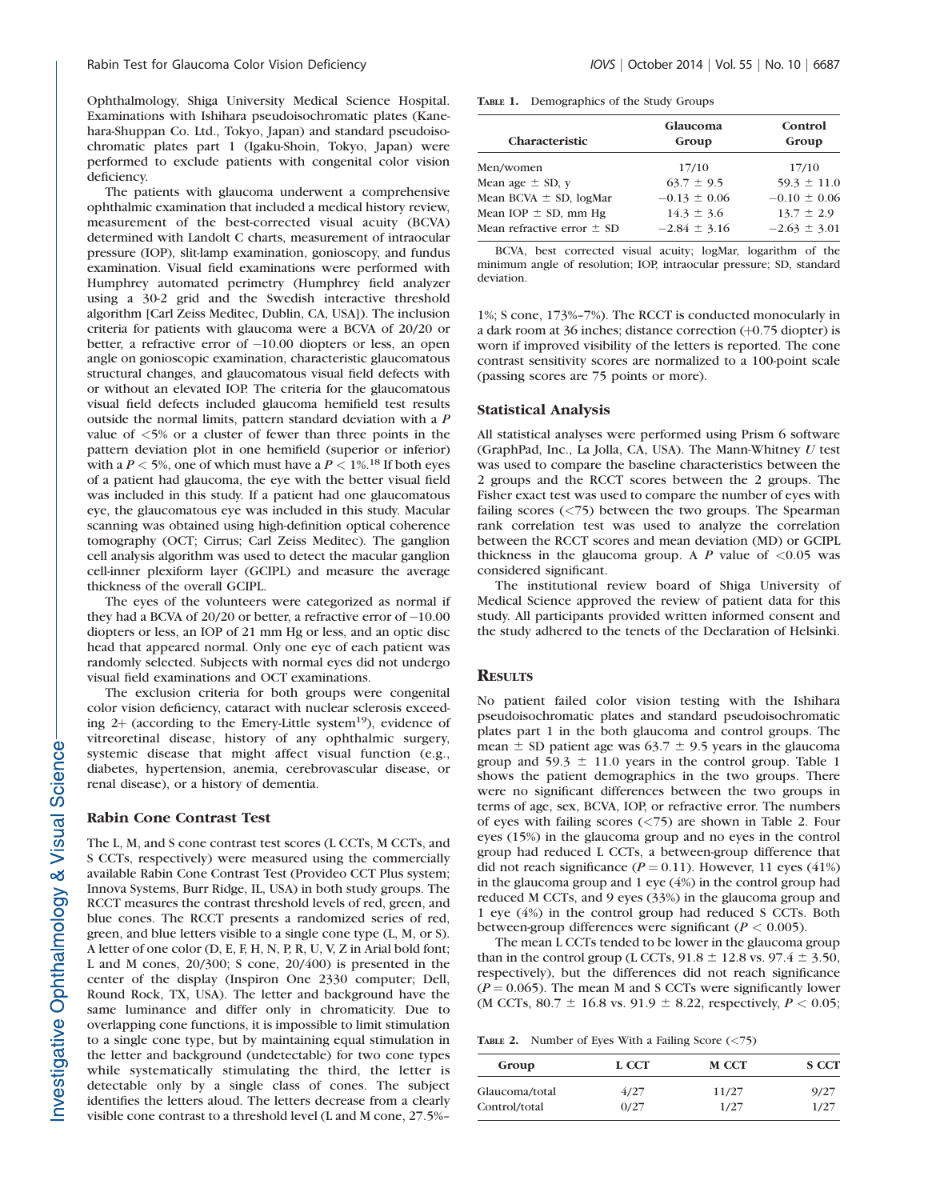Ophthalmology, Shiga University Medical Science Hospital. Examinations with Ishihara pseudoisochromatic plates (Kanehara-Shuppan Co. Ltd., Tokyo, Japan) and standard pseudoisochromatic plates part 1 (Igaku-Shoin, Tokyo, Japan) were performed to exclude patients with congenital color vision deficiency.

The patients with glaucoma underwent a comprehensive ophthalmic examination that included a medical history review, measurement of the best-corrected visual acuity (BCVA) determined with Landolt C charts, measurement of intraocular pressure (IOP), slit-lamp examination, gonioscopy, and fundus examination. Visual field examinations were performed with Humphrey automated perimetry (Humphrey field analyzer using a 30-2 grid and the Swedish interactive threshold algorithm [Carl Zeiss Meditec, Dublin, CA, USA]). The inclusion criteria for patients with glaucoma were a BCVA of 20/20 or better, a refractive error of -10.00 diopters or less, an open angle on gonioscopic examination, characteristic glaucomatous structural changes, and glaucomatous visual field defects with or without an elevated IOP. The criteria for the glaucomatous visual field defects included glaucoma hemifield test results outside the normal limits, pattern standard deviation with a P value of <5% or a cluster of fewer than three points in the pattern deviation plot in one hemifield (superior or inferior) with a  $P < 5%$ , one of which must have a  $P < 1%$ .<sup>18</sup> If both eyes of a patient had glaucoma, the eye with the better visual field was included in this study. If a patient had one glaucomatous eye, the glaucomatous eye was included in this study. Macular scanning was obtained using high-definition optical coherence tomography (OCT; Cirrus; Carl Zeiss Meditec). The ganglion cell analysis algorithm was used to detect the macular ganglion cell-inner plexiform layer (GCIPL) and measure the average thickness of the overall GCIPL.

The eyes of the volunteers were categorized as normal if they had a BCVA of 20/20 or better, a refractive error of  $-10.00$ diopters or less, an IOP of 21 mm Hg or less, and an optic disc head that appeared normal. Only one eye of each patient was randomly selected. Subjects with normal eyes did not undergo visual field examinations and OCT examinations.

The exclusion criteria for both groups were congenital color vision deficiency, cataract with nuclear sclerosis exceeding  $2+$  (according to the Emery-Little system<sup>19</sup>), evidence of vitreoretinal disease, history of any ophthalmic surgery, systemic disease that might affect visual function (e.g., diabetes, hypertension, anemia, cerebrovascular disease, or renal disease), or a history of dementia.

### Rabin Cone Contrast Test

The L, M, and S cone contrast test scores (L CCTs, M CCTs, and S CCTs, respectively) were measured using the commercially available Rabin Cone Contrast Test (Provideo CCT Plus system; Innova Systems, Burr Ridge, IL, USA) in both study groups. The RCCT measures the contrast threshold levels of red, green, and blue cones. The RCCT presents a randomized series of red, green, and blue letters visible to a single cone type (L, M, or S). A letter of one color (D, E, F, H, N, P, R, U, V, Z in Arial bold font; L and M cones, 20/300; S cone, 20/400) is presented in the center of the display (Inspiron One 2330 computer; Dell, Round Rock, TX, USA). The letter and background have the same luminance and differ only in chromaticity. Due to overlapping cone functions, it is impossible to limit stimulation to a single cone type, but by maintaining equal stimulation in the letter and background (undetectable) for two cone types while systematically stimulating the third, the letter is detectable only by a single class of cones. The subject identifies the letters aloud. The letters decrease from a clearly visible cone contrast to a threshold level (L and M cone, 27.5%–

| TABLE 1. | Demographics of the Study Groups |  |  |  |
|----------|----------------------------------|--|--|--|
|----------|----------------------------------|--|--|--|

| Group                              |
|------------------------------------|
| 17/10                              |
| $59.3 \pm 11.0$                    |
| $-0.10 \pm 0.06$                   |
| $13.7 \pm 2.9$<br>$-2.63 \pm 3.01$ |
|                                    |

BCVA, best corrected visual acuity; logMar, logarithm of the minimum angle of resolution; IOP, intraocular pressure; SD, standard deviation.

1%; S cone, 173%–7%). The RCCT is conducted monocularly in a dark room at 36 inches; distance correction  $(+0.75 \text{ diopter})$  is worn if improved visibility of the letters is reported. The cone contrast sensitivity scores are normalized to a 100-point scale (passing scores are 75 points or more).

## Statistical Analysis

All statistical analyses were performed using Prism 6 software (GraphPad, Inc., La Jolla, CA, USA). The Mann-Whitney  $U$  test was used to compare the baseline characteristics between the 2 groups and the RCCT scores between the 2 groups. The Fisher exact test was used to compare the number of eyes with failing scores  $\left(\langle 75 \rangle\right)$  between the two groups. The Spearman rank correlation test was used to analyze the correlation between the RCCT scores and mean deviation (MD) or GCIPL thickness in the glaucoma group. A  $\ddot{P}$  value of  $\leq 0.05$  was considered significant.

The institutional review board of Shiga University of Medical Science approved the review of patient data for this study. All participants provided written informed consent and the study adhered to the tenets of the Declaration of Helsinki.

## **RESULTS**

No patient failed color vision testing with the Ishihara pseudoisochromatic plates and standard pseudoisochromatic plates part 1 in the both glaucoma and control groups. The mean  $\pm$  SD patient age was 63.7  $\pm$  9.5 years in the glaucoma group and 59.3  $\pm$  11.0 years in the control group. Table 1 shows the patient demographics in the two groups. There were no significant differences between the two groups in terms of age, sex, BCVA, IOP, or refractive error. The numbers of eyes with failing scores (<75) are shown in Table 2. Four eyes (15%) in the glaucoma group and no eyes in the control group had reduced L CCTs, a between-group difference that did not reach significance ( $P = 0.11$ ). However, 11 eyes (41%) in the glaucoma group and 1 eye (4%) in the control group had reduced M CCTs, and 9 eyes (33%) in the glaucoma group and 1 eye (4%) in the control group had reduced S CCTs. Both between-group differences were significant ( $P < 0.005$ ).

The mean L CCTs tended to be lower in the glaucoma group than in the control group (L CCTs,  $91.8 \pm 12.8$  vs.  $97.4 \pm 3.50$ , respectively), but the differences did not reach significance  $(P = 0.065)$ . The mean M and S CCTs were significantly lower (M CCTs, 80.7  $\pm$  16.8 vs. 91.9  $\pm$  8.22, respectively,  $P < 0.05$ ;

TABLE 2. Number of Eyes With a Failing Score (<75)

| Group          | L CCT | <b>M CCT</b> | <b>S CCT</b> |
|----------------|-------|--------------|--------------|
| Glaucoma/total | 4/27  | 11/27        | 9/27         |
| Control/total  | 0/27  | 1/27         | 1/27         |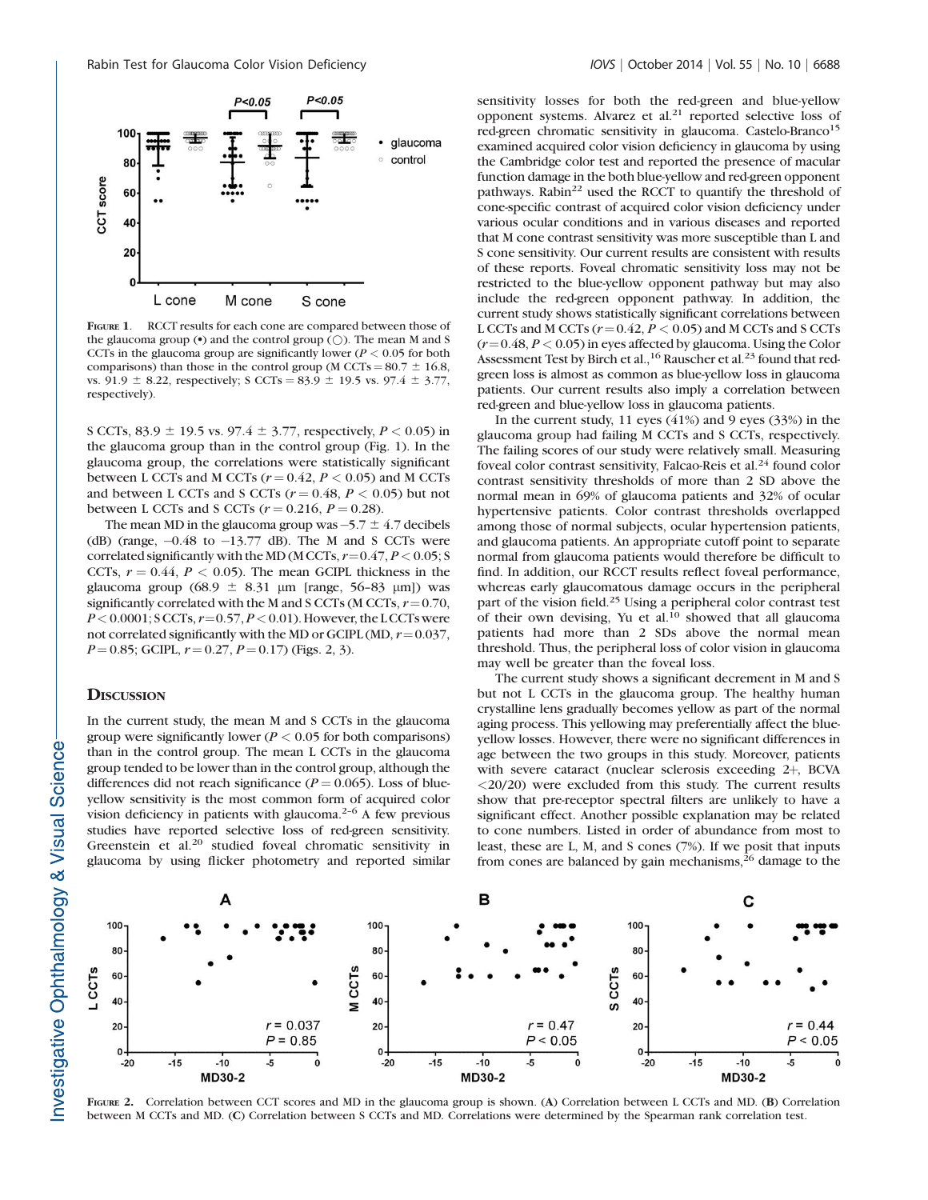

FIGURE 1. RCCT results for each cone are compared between those of the glaucoma group  $(\bullet)$  and the control group  $(\bigcirc)$ . The mean M and S CCTs in the glaucoma group are significantly lower ( $P < 0.05$  for both comparisons) than those in the control group (M CCTs =  $80.7 \pm 16.8$ , vs. 91.9  $\pm$  8.22, respectively; S CCTs = 83.9  $\pm$  19.5 vs. 97.4  $\pm$  3.77, respectively).

S CCTs, 83.9  $\pm$  19.5 vs. 97.4  $\pm$  3.77, respectively, P < 0.05) in the glaucoma group than in the control group (Fig. 1). In the glaucoma group, the correlations were statistically significant between L CCTs and M CCTs  $(r = 0.42, P < 0.05)$  and M CCTs and between L CCTs and S CCTs  $(r = 0.48, P < 0.05)$  but not between L CCTs and S CCTs  $(r = 0.216, P = 0.28)$ .

The mean MD in the glaucoma group was  $-5.7 \pm 4.7$  decibels (dB) (range,  $-0.48$  to  $-13.77$  dB). The M and S CCTs were correlated significantly with the MD (M CCTs,  $r = 0.47, P < 0.05; S$ CCTs,  $r = 0.44$ ,  $P < 0.05$ ). The mean GCIPL thickness in the glaucoma group (68.9  $\pm$  8.31 µm [range, 56–83 µm]) was significantly correlated with the M and S CCTs (M CCTs,  $r = 0.70$ ,  $P < 0.0001$ ; SCCTs,  $r = 0.57$ ,  $P < 0.01$ ). However, the LCCTs were not correlated significantly with the MD or GCIPL (MD,  $r = 0.037$ ,  $P = 0.85$ ; GCIPL,  $r = 0.27$ ,  $P = 0.17$ ) (Figs. 2, 3).

## **DISCUSSION**

In the current study, the mean M and S CCTs in the glaucoma group were significantly lower ( $P < 0.05$  for both comparisons) than in the control group. The mean L CCTs in the glaucoma group tended to be lower than in the control group, although the differences did not reach significance ( $P = 0.065$ ). Loss of blueyellow sensitivity is the most common form of acquired color vision deficiency in patients with glaucoma.<sup>2-6</sup> A few previous studies have reported selective loss of red-green sensitivity. Greenstein et al.<sup>20</sup> studied foveal chromatic sensitivity in glaucoma by using flicker photometry and reported similar sensitivity losses for both the red-green and blue-yellow opponent systems. Alvarez et al. $21$  reported selective loss of red-green chromatic sensitivity in glaucoma. Castelo-Branco<sup>15</sup> examined acquired color vision deficiency in glaucoma by using the Cambridge color test and reported the presence of macular function damage in the both blue-yellow and red-green opponent pathways. Rabin<sup>22</sup> used the RCCT to quantify the threshold of cone-specific contrast of acquired color vision deficiency under various ocular conditions and in various diseases and reported that M cone contrast sensitivity was more susceptible than L and S cone sensitivity. Our current results are consistent with results of these reports. Foveal chromatic sensitivity loss may not be restricted to the blue-yellow opponent pathway but may also include the red-green opponent pathway. In addition, the current study shows statistically significant correlations between L CCTs and M CCTs  $(r=0.42, P < 0.05)$  and M CCTs and S CCTs  $(r=0.48, P < 0.05)$  in eyes affected by glaucoma. Using the Color Assessment Test by Birch et al.,<sup>16</sup> Rauscher et al.<sup>23</sup> found that redgreen loss is almost as common as blue-yellow loss in glaucoma patients. Our current results also imply a correlation between red-green and blue-yellow loss in glaucoma patients.

In the current study, 11 eyes (41%) and 9 eyes (33%) in the glaucoma group had failing M CCTs and S CCTs, respectively. The failing scores of our study were relatively small. Measuring foveal color contrast sensitivity, Falcao-Reis et al.<sup>24</sup> found color contrast sensitivity thresholds of more than 2 SD above the normal mean in 69% of glaucoma patients and 32% of ocular hypertensive patients. Color contrast thresholds overlapped among those of normal subjects, ocular hypertension patients, and glaucoma patients. An appropriate cutoff point to separate normal from glaucoma patients would therefore be difficult to find. In addition, our RCCT results reflect foveal performance, whereas early glaucomatous damage occurs in the peripheral part of the vision field.<sup>25</sup> Using a peripheral color contrast test of their own devising, Yu et al.<sup>10</sup> showed that all glaucoma patients had more than 2 SDs above the normal mean threshold. Thus, the peripheral loss of color vision in glaucoma may well be greater than the foveal loss.

The current study shows a significant decrement in M and S but not L CCTs in the glaucoma group. The healthy human crystalline lens gradually becomes yellow as part of the normal aging process. This yellowing may preferentially affect the blueyellow losses. However, there were no significant differences in age between the two groups in this study. Moreover, patients with severe cataract (nuclear sclerosis exceeding 2+, BCVA  $\langle 20/20 \rangle$  were excluded from this study. The current results show that pre-receptor spectral filters are unlikely to have a significant effect. Another possible explanation may be related to cone numbers. Listed in order of abundance from most to least, these are L, M, and S cones (7%). If we posit that inputs from cones are balanced by gain mechanisms, $26$  damage to the



FIGURE 2. Correlation between CCT scores and MD in the glaucoma group is shown. (A) Correlation between L CCTs and MD. (B) Correlation between M CCTs and MD. (C) Correlation between S CCTs and MD. Correlations were determined by the Spearman rank correlation test.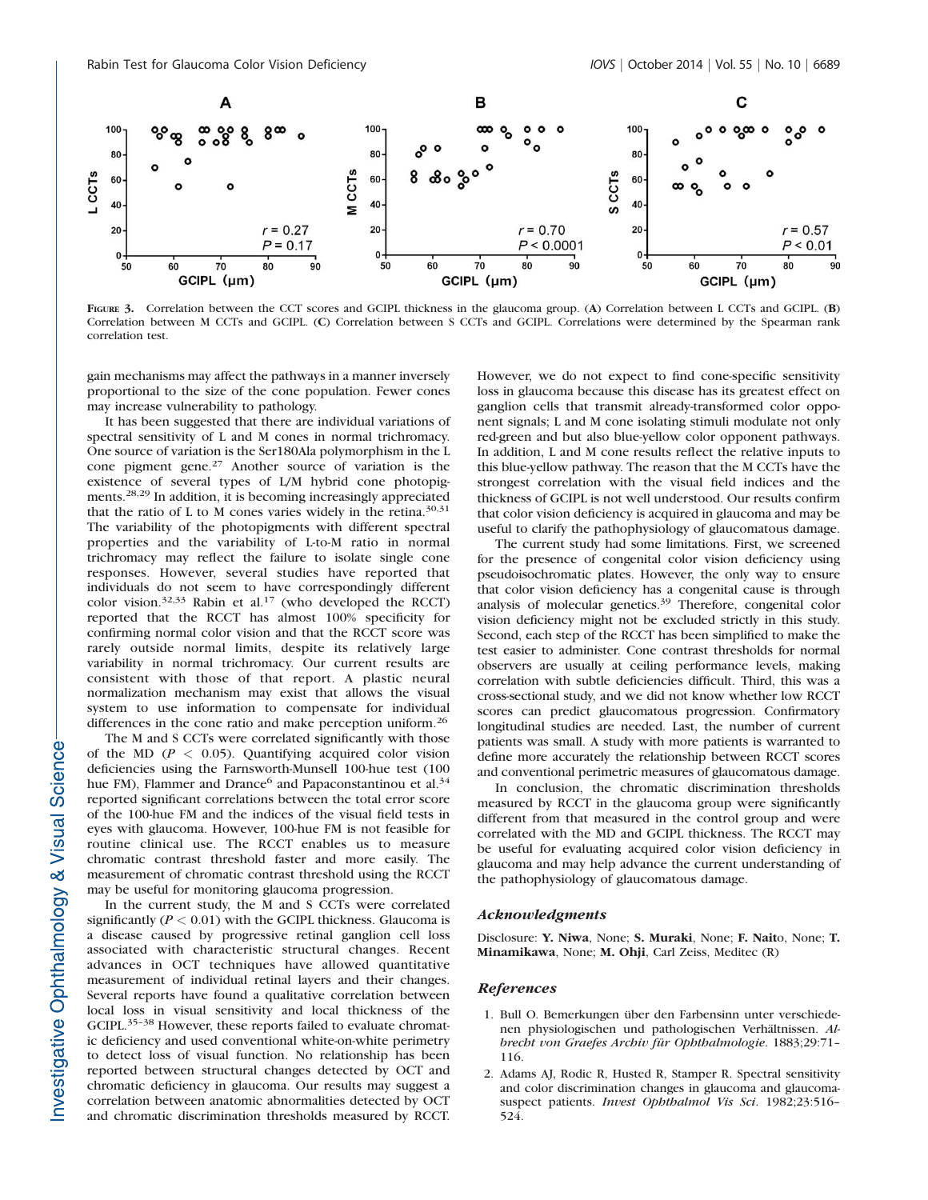

FIGURE 3. Correlation between the CCT scores and GCIPL thickness in the glaucoma group. (A) Correlation between L CCTs and GCIPL. (B) Correlation between M CCTs and GCIPL. (C) Correlation between S CCTs and GCIPL. Correlations were determined by the Spearman rank correlation test.

gain mechanisms may affect the pathways in a manner inversely proportional to the size of the cone population. Fewer cones may increase vulnerability to pathology.

It has been suggested that there are individual variations of spectral sensitivity of L and M cones in normal trichromacy. One source of variation is the Ser180Ala polymorphism in the L cone pigment gene.<sup>27</sup> Another source of variation is the existence of several types of L/M hybrid cone photopigments.28,29 In addition, it is becoming increasingly appreciated that the ratio of L to M cones varies widely in the retina.<sup>30,31</sup> The variability of the photopigments with different spectral properties and the variability of L-to-M ratio in normal trichromacy may reflect the failure to isolate single cone responses. However, several studies have reported that individuals do not seem to have correspondingly different color vision.32,33 Rabin et al.<sup>17</sup> (who developed the RCCT) reported that the RCCT has almost 100% specificity for confirming normal color vision and that the RCCT score was rarely outside normal limits, despite its relatively large variability in normal trichromacy. Our current results are consistent with those of that report. A plastic neural normalization mechanism may exist that allows the visual system to use information to compensate for individual differences in the cone ratio and make perception uniform.<sup>26</sup>

The M and S CCTs were correlated significantly with those of the MD ( $P < 0.05$ ). Quantifying acquired color vision deficiencies using the Farnsworth-Munsell 100-hue test (100 hue FM), Flammer and Drance<sup>6</sup> and Papaconstantinou et al.<sup>34</sup> reported significant correlations between the total error score of the 100-hue FM and the indices of the visual field tests in eyes with glaucoma. However, 100-hue FM is not feasible for routine clinical use. The RCCT enables us to measure chromatic contrast threshold faster and more easily. The measurement of chromatic contrast threshold using the RCCT may be useful for monitoring glaucoma progression.

In the current study, the M and S CCTs were correlated significantly ( $P < 0.01$ ) with the GCIPL thickness. Glaucoma is a disease caused by progressive retinal ganglion cell loss associated with characteristic structural changes. Recent advances in OCT techniques have allowed quantitative measurement of individual retinal layers and their changes. Several reports have found a qualitative correlation between local loss in visual sensitivity and local thickness of the GCIPL.<sup>35-38</sup> However, these reports failed to evaluate chromatic deficiency and used conventional white-on-white perimetry to detect loss of visual function. No relationship has been reported between structural changes detected by OCT and chromatic deficiency in glaucoma. Our results may suggest a correlation between anatomic abnormalities detected by OCT and chromatic discrimination thresholds measured by RCCT.

However, we do not expect to find cone-specific sensitivity loss in glaucoma because this disease has its greatest effect on ganglion cells that transmit already-transformed color opponent signals; L and M cone isolating stimuli modulate not only red-green and but also blue-yellow color opponent pathways. In addition, L and M cone results reflect the relative inputs to this blue-yellow pathway. The reason that the M CCTs have the strongest correlation with the visual field indices and the thickness of GCIPL is not well understood. Our results confirm that color vision deficiency is acquired in glaucoma and may be useful to clarify the pathophysiology of glaucomatous damage.

The current study had some limitations. First, we screened for the presence of congenital color vision deficiency using pseudoisochromatic plates. However, the only way to ensure that color vision deficiency has a congenital cause is through analysis of molecular genetics.39 Therefore, congenital color vision deficiency might not be excluded strictly in this study. Second, each step of the RCCT has been simplified to make the test easier to administer. Cone contrast thresholds for normal observers are usually at ceiling performance levels, making correlation with subtle deficiencies difficult. Third, this was a cross-sectional study, and we did not know whether low RCCT scores can predict glaucomatous progression. Confirmatory longitudinal studies are needed. Last, the number of current patients was small. A study with more patients is warranted to define more accurately the relationship between RCCT scores and conventional perimetric measures of glaucomatous damage.

In conclusion, the chromatic discrimination thresholds measured by RCCT in the glaucoma group were significantly different from that measured in the control group and were correlated with the MD and GCIPL thickness. The RCCT may be useful for evaluating acquired color vision deficiency in glaucoma and may help advance the current understanding of the pathophysiology of glaucomatous damage.

### Acknowledgments

Disclosure: Y. Niwa, None; S. Muraki, None; F. Naito, None; T. Minamikawa, None; M. Ohji, Carl Zeiss, Meditec (R)

## References

- 1. Bull O. Bemerkungen über den Farbensinn unter verschiedenen physiologischen und pathologischen Verhältnissen. Albrecht von Graefes Archiv für Ophthalmologie. 1883;29:71-116.
- 2. Adams AJ, Rodic R, Husted R, Stamper R. Spectral sensitivity and color discrimination changes in glaucoma and glaucomasuspect patients. Invest Ophthalmol Vis Sci. 1982;23:516-524.